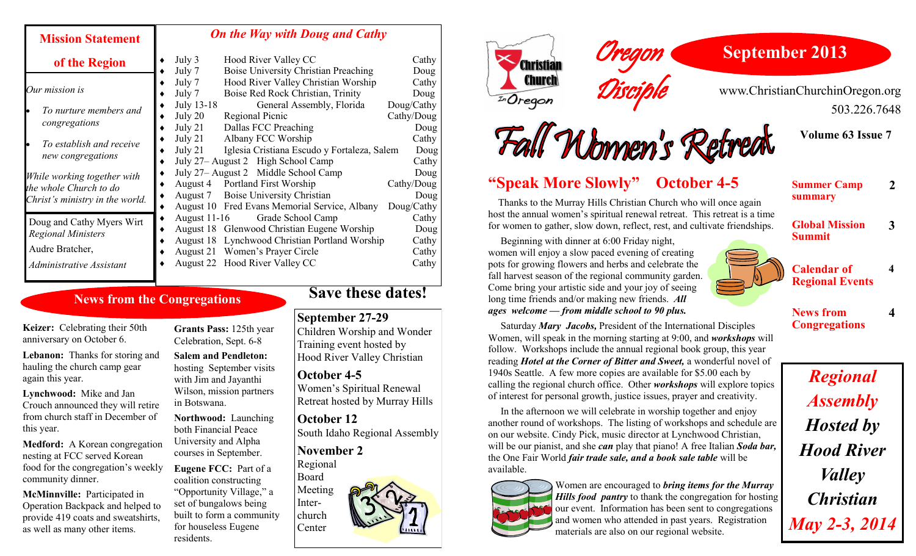#### **Mission Statement of the Region** *Our mission is To nurture members and congregations To establish and receive new congregations While working together with the whole Church to do Christ's ministry in the world. On the Way with Doug and Cathy* • July 3 Hood River Valley CC Cathy July 7 Boise University Christian Preaching Doug July 7 Hood River Valley Christian Worship Cathy July 7 Boise Red Rock Christian, Trinity Doug July 13-18 General Assembly, Florida Doug/Cathy July 20 Regional Picnic Cathy/Doug • July 21 Dallas FCC Preaching Doug • July 21 Albany FCC Worship Cathy<br>
• July 21 Iglesia Cristiana Escudo y Fortaleza, Salem Doug Iglesia Cristiana Escudo y Fortaleza, Salem Doug ◆ July 27– August 2 High School Camp Cathy ◆ July 27– August 2 Middle School Camp Doug August 4 Portland First Worship Cathy/Doug ◆ August 7 Boise University Christian Doug August 10 Fred Evans Memorial Service, Albany Doug/Cathy • August 11-16 Grade School Camp Cathy August 18 Glenwood Christian Eugene Worship Doug August 18 Lynchwood Christian Portland Worship Cathy August 21 Women's Prayer Circle Cathy • August 22 Hood River Valley CC Cathy Doug and Cathy Myers Wirt *Regional Ministers* Audre Bratcher, *Administrative Assistant*

## **News from the Congregations**

**Keizer:** Celebrating their 50th anniversary on October 6.

**Lebanon:** Thanks for storing and hauling the church camp gear again this year.

**Lynchwood:** Mike and Jan Crouch announced they will retire from church staff in December of this year.

**Medford:** A Korean congregation nesting at FCC served Korean food for the congregation's weekly community dinner.

**McMinnville:** Participated in Operation Backpack and helped to provide 419 coats and sweatshirts, as well as many other items.

**Grants Pass:** 125th year Celebration, Sept. 6-8

**Salem and Pendleton:**  hosting September visits with Jim and Jayanthi Wilson, mission partners in Botswana.

**Northwood:** Launching both Financial Peace University and Alpha courses in September.

**Eugene FCC:** Part of a coalition constructing "Opportunity Village," a set of bungalows being built to form a community for houseless Eugene residents.

# **Save these dates!**

#### **September 27-29**

Children Worship and Wonder Training event hosted by Hood River Valley Christian

**October 4-5** Women's Spiritual Renewal Retreat hosted by Murray Hills

**October 12** South Idaho Regional Assembly

**November 2** Regional

Board Meeting Interchurch Center





www.ChristianChurchinOregon.org 503.226.7648



**Summer Camp** 

**Global Mission** 

**summary**



 Thanks to the Murray Hills Christian Church who will once again host the annual women's spiritual renewal retreat. This retreat is a time for women to gather, slow down, reflect, rest, and cultivate friendships.

Oregon

Disciple

 Beginning with dinner at 6:00 Friday night, women will enjoy a slow paced evening of creating pots for growing flowers and herbs and celebrate the fall harvest season of the regional community garden. Come bring your artistic side and your joy of seeing long time friends and/or making new friends. *All ages welcome — from middle school to 90 plus.*

 Saturday *Mary Jacobs,* President of the International Disciples Women, will speak in the morning starting at 9:00, and *workshops* will follow. Workshops include the annual regional book group, this year reading *Hotel at the Corner of Bitter and Sweet,* a wonderful novel of 1940s Seattle. A few more copies are available for \$5.00 each by calling the regional church office. Other *workshops* will explore topics of interest for personal growth, justice issues, prayer and creativity.

 In the afternoon we will celebrate in worship together and enjoy another round of workshops. The listing of workshops and schedule are on our website. Cindy Pick, music director at Lynchwood Christian, will be our pianist, and she *can* play that piano! A free Italian *Soda bar,*  the One Fair World *fair trade sale, and a book sale table* will be available.



Women are encouraged to *bring items for the Murray Hills food pantry* to thank the congregation for hosting our event. Information has been sent to congregations and women who attended in past years. Registration materials are also on our regional website.



**Calendar of Regional Events 4**

**2**

**3**

**4**

**News from Congregations**

*Regional Assembly Hosted by Hood River Valley Christian May 2-3, 2014*